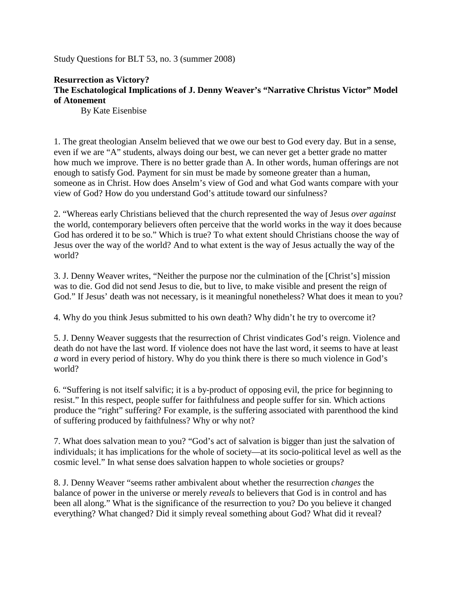Study Questions for BLT 53, no. 3 (summer 2008)

## **Resurrection as Victory? The Eschatological Implications of J. Denny Weaver's "Narrative Christus Victor" Model of Atonement**

By Kate Eisenbise

1. The great theologian Anselm believed that we owe our best to God every day. But in a sense, even if we are "A" students, always doing our best, we can never get a better grade no matter how much we improve. There is no better grade than A. In other words, human offerings are not enough to satisfy God. Payment for sin must be made by someone greater than a human, someone as in Christ. How does Anselm's view of God and what God wants compare with your view of God? How do you understand God's attitude toward our sinfulness?

2. "Whereas early Christians believed that the church represented the way of Jesus *over against* the world, contemporary believers often perceive that the world works in the way it does because God has ordered it to be so." Which is true? To what extent should Christians choose the way of Jesus over the way of the world? And to what extent is the way of Jesus actually the way of the world?

3. J. Denny Weaver writes, "Neither the purpose nor the culmination of the [Christ's] mission was to die. God did not send Jesus to die, but to live, to make visible and present the reign of God." If Jesus' death was not necessary, is it meaningful nonetheless? What does it mean to you?

4. Why do you think Jesus submitted to his own death? Why didn't he try to overcome it?

5. J. Denny Weaver suggests that the resurrection of Christ vindicates God's reign. Violence and death do not have the last word. If violence does not have the last word, it seems to have at least *a* word in every period of history. Why do you think there is there so much violence in God's world?

6. "Suffering is not itself salvific; it is a by-product of opposing evil, the price for beginning to resist." In this respect, people suffer for faithfulness and people suffer for sin. Which actions produce the "right" suffering? For example, is the suffering associated with parenthood the kind of suffering produced by faithfulness? Why or why not?

7. What does salvation mean to you? "God's act of salvation is bigger than just the salvation of individuals; it has implications for the whole of society—at its socio-political level as well as the cosmic level." In what sense does salvation happen to whole societies or groups?

8. J. Denny Weaver "seems rather ambivalent about whether the resurrection *changes* the balance of power in the universe or merely *reveals* to believers that God is in control and has been all along." What is the significance of the resurrection to you? Do you believe it changed everything? What changed? Did it simply reveal something about God? What did it reveal?